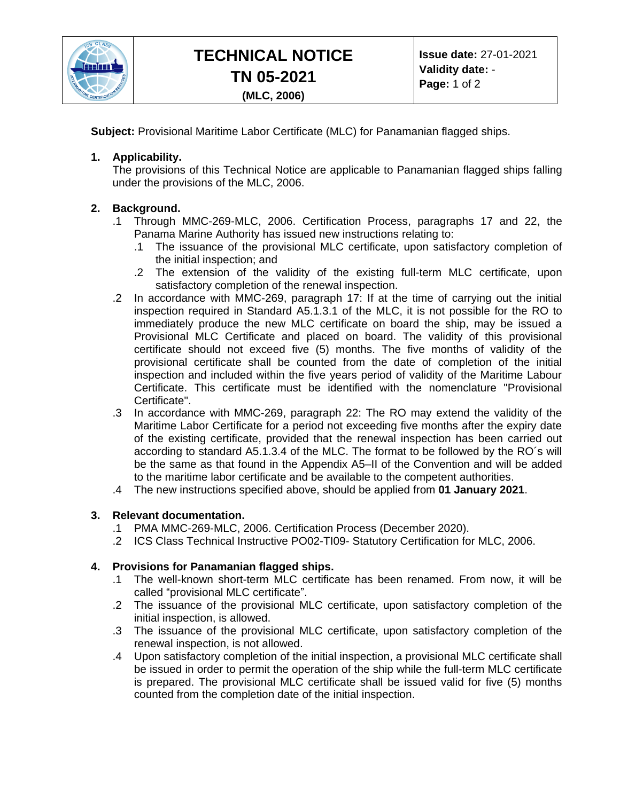

**Subject:** Provisional Maritime Labor Certificate (MLC) for Panamanian flagged ships.

## **1. Applicability.**

The provisions of this Technical Notice are applicable to Panamanian flagged ships falling under the provisions of the MLC, 2006.

# **2. Background.**

- .1 Through MMC-269-MLC, 2006. Certification Process, paragraphs 17 and 22, the Panama Marine Authority has issued new instructions relating to:
	- .1 The issuance of the provisional MLC certificate, upon satisfactory completion of the initial inspection; and
	- .2 The extension of the validity of the existing full-term MLC certificate, upon satisfactory completion of the renewal inspection.
- .2 In accordance with MMC-269, paragraph 17: If at the time of carrying out the initial inspection required in Standard A5.1.3.1 of the MLC, it is not possible for the RO to immediately produce the new MLC certificate on board the ship, may be issued a Provisional MLC Certificate and placed on board. The validity of this provisional certificate should not exceed five (5) months. The five months of validity of the provisional certificate shall be counted from the date of completion of the initial inspection and included within the five years period of validity of the Maritime Labour Certificate. This certificate must be identified with the nomenclature "Provisional Certificate".
- .3 In accordance with MMC-269, paragraph 22: The RO may extend the validity of the Maritime Labor Certificate for a period not exceeding five months after the expiry date of the existing certificate, provided that the renewal inspection has been carried out according to standard A5.1.3.4 of the MLC. The format to be followed by the RO´s will be the same as that found in the Appendix A5–II of the Convention and will be added to the maritime labor certificate and be available to the competent authorities.
- .4 The new instructions specified above, should be applied from **01 January 2021**.

### **3. Relevant documentation.**

- .1 PMA MMC-269-MLC, 2006. Certification Process (December 2020).
- .2 ICS Class Technical Instructive PO02-TI09- Statutory Certification for MLC, 2006.

### **4. Provisions for Panamanian flagged ships.**

- .1 The well-known short-term MLC certificate has been renamed. From now, it will be called "provisional MLC certificate".
- .2 The issuance of the provisional MLC certificate, upon satisfactory completion of the initial inspection, is allowed.
- .3 The issuance of the provisional MLC certificate, upon satisfactory completion of the renewal inspection, is not allowed.
- .4 Upon satisfactory completion of the initial inspection, a provisional MLC certificate shall be issued in order to permit the operation of the ship while the full-term MLC certificate is prepared. The provisional MLC certificate shall be issued valid for five (5) months counted from the completion date of the initial inspection.